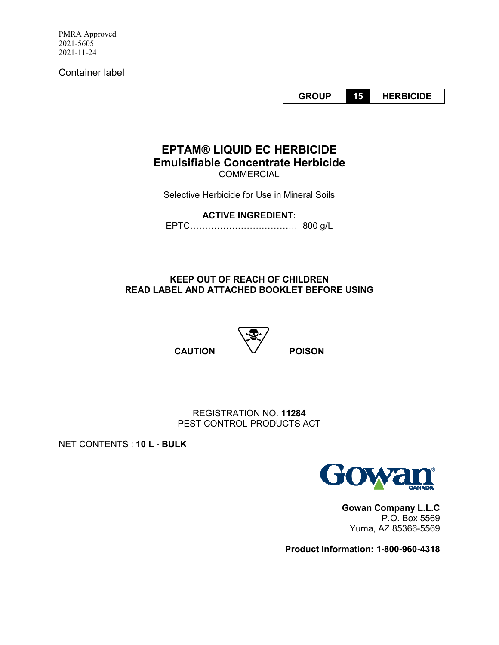Container label

**GROUP 15 HERBICIDE** 

# **EPTAM® LIQUID EC HERBICIDE Emulsifiable Concentrate Herbicide**

COMMERCIAL

Selective Herbicide for Use in Mineral Soils

# **ACTIVE INGREDIENT:**

EPTC……………………………… 800 g/L

**KEEP OUT OF REACH OF CHILDREN READ LABEL AND ATTACHED BOOKLET BEFORE USING** 



**CAUTION POISON** 



REGISTRATION NO. **11284** PEST CONTROL PRODUCTS ACT

NET CONTENTS : **10 L - BULK**



**Gowan Company L.L.C**  P.O. Box 5569 Yuma, AZ 85366-5569

**Product Information: 1-800-960-4318**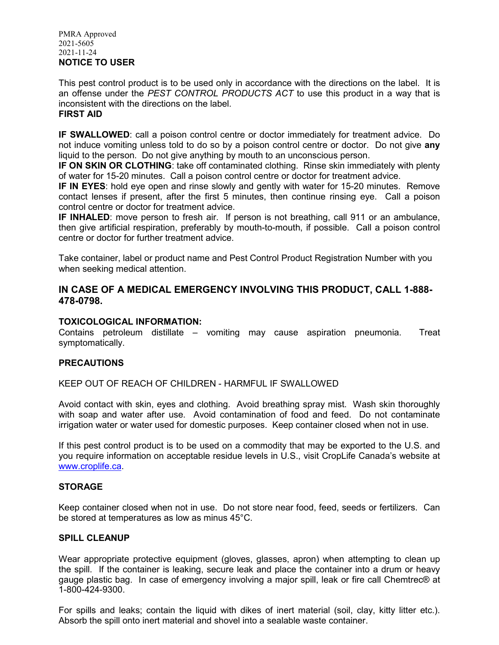This pest control product is to be used only in accordance with the directions on the label. It is an offense under the *PEST CONTROL PRODUCTS ACT* to use this product in a way that is inconsistent with the directions on the label.

# **FIRST AID**

**IF SWALLOWED**: call a poison control centre or doctor immediately for treatment advice. Do not induce vomiting unless told to do so by a poison control centre or doctor. Do not give **any** liquid to the person. Do not give anything by mouth to an unconscious person.

**IF ON SKIN OR CLOTHING:** take off contaminated clothing. Rinse skin immediately with plenty of water for 15-20 minutes. Call a poison control centre or doctor for treatment advice.

**IF IN EYES**: hold eye open and rinse slowly and gently with water for 15-20 minutes. Remove contact lenses if present, after the first 5 minutes, then continue rinsing eye. Call a poison control centre or doctor for treatment advice.

**IF INHALED:** move person to fresh air. If person is not breathing, call 911 or an ambulance. then give artificial respiration, preferably by mouth-to-mouth, if possible. Call a poison control centre or doctor for further treatment advice.

Take container, label or product name and Pest Control Product Registration Number with you when seeking medical attention.

# **IN CASE OF A MEDICAL EMERGENCY INVOLVING THIS PRODUCT, CALL 1-888- 478-0798.**

# **TOXICOLOGICAL INFORMATION:**

Contains petroleum distillate – vomiting may cause aspiration pneumonia. Treat symptomatically.

#### **PRECAUTIONS**

KEEP OUT OF REACH OF CHILDREN - HARMFUL IF SWALLOWED

Avoid contact with skin, eyes and clothing. Avoid breathing spray mist. Wash skin thoroughly with soap and water after use. Avoid contamination of food and feed. Do not contaminate irrigation water or water used for domestic purposes. Keep container closed when not in use.

If this pest control product is to be used on a commodity that may be exported to the U.S. and you require information on acceptable residue levels in U.S., visit CropLife Canada's website at www.croplife.ca.

#### **STORAGE**

Keep container closed when not in use. Do not store near food, feed, seeds or fertilizers. Can be stored at temperatures as low as minus 45°C.

#### **SPILL CLEANUP**

Wear appropriate protective equipment (gloves, glasses, apron) when attempting to clean up the spill. If the container is leaking, secure leak and place the container into a drum or heavy gauge plastic bag. In case of emergency involving a major spill, leak or fire call Chemtrec® at 1-800-424-9300.

For spills and leaks; contain the liquid with dikes of inert material (soil, clay, kitty litter etc.). Absorb the spill onto inert material and shovel into a sealable waste container.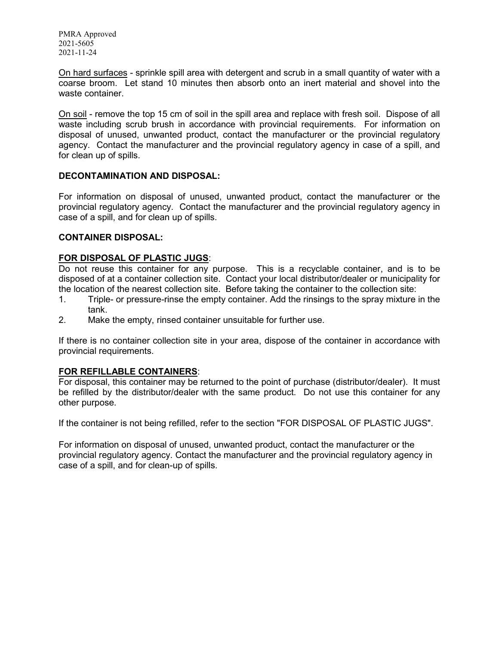On hard surfaces - sprinkle spill area with detergent and scrub in a small quantity of water with a coarse broom. Let stand 10 minutes then absorb onto an inert material and shovel into the waste container.

On soil - remove the top 15 cm of soil in the spill area and replace with fresh soil. Dispose of all waste including scrub brush in accordance with provincial requirements. For information on disposal of unused, unwanted product, contact the manufacturer or the provincial regulatory agency. Contact the manufacturer and the provincial regulatory agency in case of a spill, and for clean up of spills.

# **DECONTAMINATION AND DISPOSAL:**

For information on disposal of unused, unwanted product, contact the manufacturer or the provincial regulatory agency. Contact the manufacturer and the provincial regulatory agency in case of a spill, and for clean up of spills.

# **CONTAINER DISPOSAL:**

# **FOR DISPOSAL OF PLASTIC JUGS**:

Do not reuse this container for any purpose. This is a recyclable container, and is to be disposed of at a container collection site. Contact your local distributor/dealer or municipality for the location of the nearest collection site. Before taking the container to the collection site:

- 1. Triple- or pressure-rinse the empty container. Add the rinsings to the spray mixture in the tank.
- 2. Make the empty, rinsed container unsuitable for further use.

If there is no container collection site in your area, dispose of the container in accordance with provincial requirements.

# **FOR REFILLABLE CONTAINERS**:

For disposal, this container may be returned to the point of purchase (distributor/dealer). It must be refilled by the distributor/dealer with the same product. Do not use this container for any other purpose.

If the container is not being refilled, refer to the section "FOR DISPOSAL OF PLASTIC JUGS".

For information on disposal of unused, unwanted product, contact the manufacturer or the provincial regulatory agency. Contact the manufacturer and the provincial regulatory agency in case of a spill, and for clean-up of spills.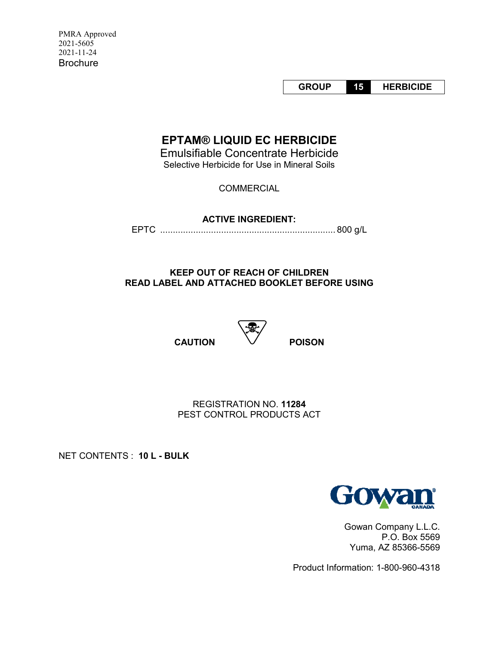PMRA Approved 2021-5605 2021-11-24 Brochure

**GROUP 15 HERBICIDE** 

# **EPTAM® LIQUID EC HERBICIDE**

Emulsifiable Concentrate Herbicide Selective Herbicide for Use in Mineral Soils

COMMERCIAL

# **ACTIVE INGREDIENT:**

EPTC ..................................................................... 800 g/L

**KEEP OUT OF REACH OF CHILDREN READ LABEL AND ATTACHED BOOKLET BEFORE USING** 



REGISTRATION NO. **11284** PEST CONTROL PRODUCTS ACT

NET CONTENTS : **10 L - BULK** 



Gowan Company L.L.C. P.O. Box 5569 Yuma, AZ 85366-5569

Product Information: 1-800-960-4318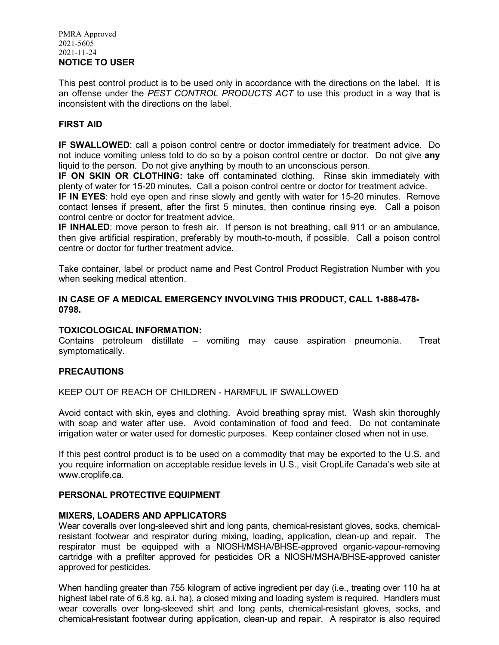#### PMRA Approved 2021-5605 2021-11-24 **NOTICE TO USER**

This pest control product is to be used only in accordance with the directions on the label. It is an offense under the *PEST CONTROL PRODUCTS ACT* to use this product in a way that is inconsistent with the directions on the label.

# **FIRST AID**

**IF SWALLOWED**: call a poison control centre or doctor immediately for treatment advice. Do not induce vomiting unless told to do so by a poison control centre or doctor. Do not give **any** liquid to the person. Do not give anything by mouth to an unconscious person.

**IF ON SKIN OR CLOTHING:** take off contaminated clothing. Rinse skin immediately with plenty of water for 15-20 minutes. Call a poison control centre or doctor for treatment advice.

**IF IN EYES**: hold eye open and rinse slowly and gently with water for 15-20 minutes. Remove contact lenses if present, after the first 5 minutes, then continue rinsing eye. Call a poison control centre or doctor for treatment advice.

**IF INHALED**: move person to fresh air. If person is not breathing, call 911 or an ambulance, then give artificial respiration, preferably by mouth-to-mouth, if possible. Call a poison control centre or doctor for further treatment advice.

Take container, label or product name and Pest Control Product Registration Number with you when seeking medical attention.

# **IN CASE OF A MEDICAL EMERGENCY INVOLVING THIS PRODUCT, CALL 1-888-478- 0798.**

#### **TOXICOLOGICAL INFORMATION:**

Contains petroleum distillate – vomiting may cause aspiration pneumonia. Treat symptomatically.

#### **PRECAUTIONS**

#### KEEP OUT OF REACH OF CHILDREN - HARMFUL IF SWALLOWED

Avoid contact with skin, eyes and clothing. Avoid breathing spray mist. Wash skin thoroughly with soap and water after use. Avoid contamination of food and feed. Do not contaminate irrigation water or water used for domestic purposes. Keep container closed when not in use.

If this pest control product is to be used on a commodity that may be exported to the U.S. and you require information on acceptable residue levels in U.S., visit CropLife Canada's web site at www.croplife.ca.

#### **PERSONAL PROTECTIVE EQUIPMENT**

#### **MIXERS, LOADERS AND APPLICATORS**

Wear coveralls over long-sleeved shirt and long pants, chemical-resistant gloves, socks, chemicalresistant footwear and respirator during mixing, loading, application, clean-up and repair. The respirator must be equipped with a NIOSH/MSHA/BHSE-approved organic-vapour-removing cartridge with a prefilter approved for pesticides OR a NIOSH/MSHA/BHSE-approved canister approved for pesticides.

When handling greater than 755 kilogram of active ingredient per day (i.e., treating over 110 ha at highest label rate of 6.8 kg. a.i. ha), a closed mixing and loading system is required. Handlers must wear coveralls over long-sleeved shirt and long pants, chemical-resistant gloves, socks, and chemical-resistant footwear during application, clean-up and repair. A respirator is also required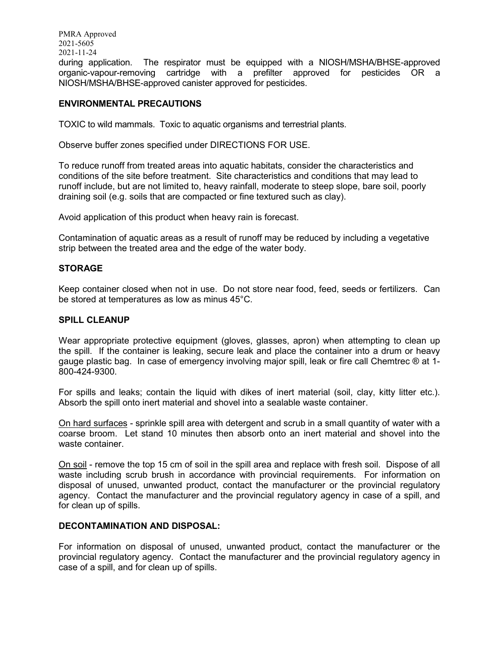during application. The respirator must be equipped with a NIOSH/MSHA/BHSE-approved organic-vapour-removing cartridge with a prefilter approved for pesticides OR a NIOSH/MSHA/BHSE-approved canister approved for pesticides.

## **ENVIRONMENTAL PRECAUTIONS**

TOXIC to wild mammals. Toxic to aquatic organisms and terrestrial plants.

Observe buffer zones specified under DIRECTIONS FOR USE.

To reduce runoff from treated areas into aquatic habitats, consider the characteristics and conditions of the site before treatment. Site characteristics and conditions that may lead to runoff include, but are not limited to, heavy rainfall, moderate to steep slope, bare soil, poorly draining soil (e.g. soils that are compacted or fine textured such as clay).

Avoid application of this product when heavy rain is forecast.

Contamination of aquatic areas as a result of runoff may be reduced by including a vegetative strip between the treated area and the edge of the water body.

# **STORAGE**

Keep container closed when not in use. Do not store near food, feed, seeds or fertilizers. Can be stored at temperatures as low as minus 45°C.

## **SPILL CLEANUP**

Wear appropriate protective equipment (gloves, glasses, apron) when attempting to clean up the spill. If the container is leaking, secure leak and place the container into a drum or heavy gauge plastic bag. In case of emergency involving major spill, leak or fire call Chemtrec ® at 1- 800-424-9300.

For spills and leaks; contain the liquid with dikes of inert material (soil, clay, kitty litter etc.). Absorb the spill onto inert material and shovel into a sealable waste container.

On hard surfaces - sprinkle spill area with detergent and scrub in a small quantity of water with a coarse broom. Let stand 10 minutes then absorb onto an inert material and shovel into the waste container.

On soil - remove the top 15 cm of soil in the spill area and replace with fresh soil. Dispose of all waste including scrub brush in accordance with provincial requirements. For information on disposal of unused, unwanted product, contact the manufacturer or the provincial regulatory agency. Contact the manufacturer and the provincial regulatory agency in case of a spill, and for clean up of spills.

# **DECONTAMINATION AND DISPOSAL:**

For information on disposal of unused, unwanted product, contact the manufacturer or the provincial regulatory agency. Contact the manufacturer and the provincial regulatory agency in case of a spill, and for clean up of spills.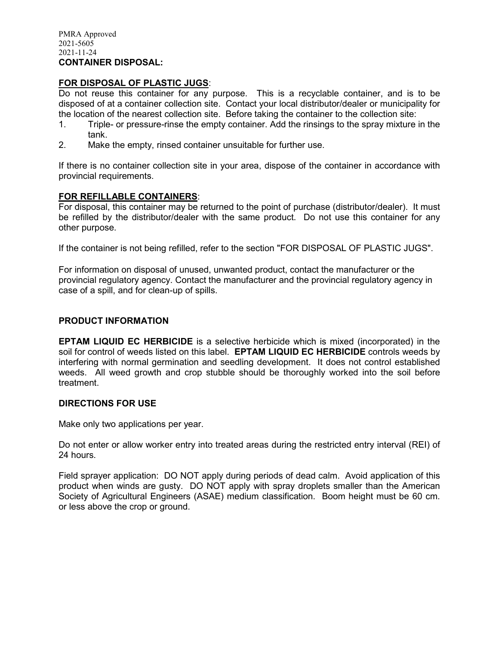# **FOR DISPOSAL OF PLASTIC JUGS**:

Do not reuse this container for any purpose. This is a recyclable container, and is to be disposed of at a container collection site. Contact your local distributor/dealer or municipality for the location of the nearest collection site. Before taking the container to the collection site:

- 1. Triple- or pressure-rinse the empty container. Add the rinsings to the spray mixture in the tank.
- 2. Make the empty, rinsed container unsuitable for further use.

If there is no container collection site in your area, dispose of the container in accordance with provincial requirements.

# **FOR REFILLABLE CONTAINERS**:

For disposal, this container may be returned to the point of purchase (distributor/dealer). It must be refilled by the distributor/dealer with the same product. Do not use this container for any other purpose.

If the container is not being refilled, refer to the section "FOR DISPOSAL OF PLASTIC JUGS".

For information on disposal of unused, unwanted product, contact the manufacturer or the provincial regulatory agency. Contact the manufacturer and the provincial regulatory agency in case of a spill, and for clean-up of spills.

# **PRODUCT INFORMATION**

**EPTAM LIQUID EC HERBICIDE** is a selective herbicide which is mixed (incorporated) in the soil for control of weeds listed on this label. **EPTAM LIQUID EC HERBICIDE** controls weeds by interfering with normal germination and seedling development. It does not control established weeds. All weed growth and crop stubble should be thoroughly worked into the soil before treatment.

## **DIRECTIONS FOR USE**

Make only two applications per year.

Do not enter or allow worker entry into treated areas during the restricted entry interval (REI) of 24 hours.

Field sprayer application: DO NOT apply during periods of dead calm. Avoid application of this product when winds are gusty. DO NOT apply with spray droplets smaller than the American Society of Agricultural Engineers (ASAE) medium classification. Boom height must be 60 cm. or less above the crop or ground.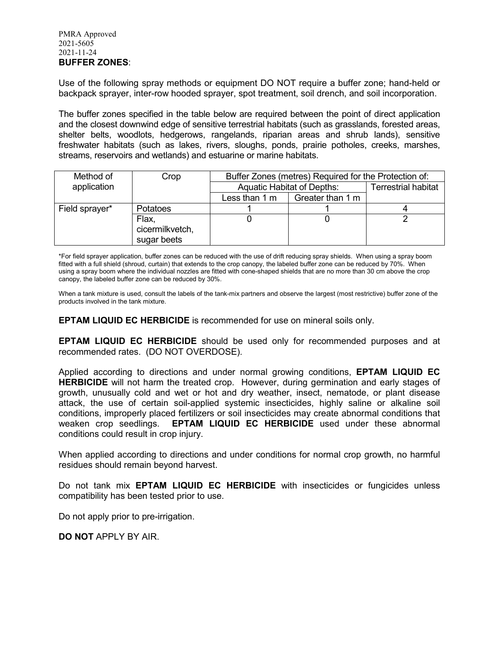Use of the following spray methods or equipment DO NOT require a buffer zone; hand-held or backpack sprayer, inter-row hooded sprayer, spot treatment, soil drench, and soil incorporation.

The buffer zones specified in the table below are required between the point of direct application and the closest downwind edge of sensitive terrestrial habitats (such as grasslands, forested areas, shelter belts, woodlots, hedgerows, rangelands, riparian areas and shrub lands), sensitive freshwater habitats (such as lakes, rivers, sloughs, ponds, prairie potholes, creeks, marshes, streams, reservoirs and wetlands) and estuarine or marine habitats.

| Method of      | Crop                                    |                                   | Buffer Zones (metres) Required for the Protection of: |                            |
|----------------|-----------------------------------------|-----------------------------------|-------------------------------------------------------|----------------------------|
| application    |                                         | <b>Aquatic Habitat of Depths:</b> |                                                       | <b>Terrestrial habitat</b> |
|                |                                         | Less than 1 m                     | Greater than 1 m                                      |                            |
| Field sprayer* | Potatoes                                |                                   |                                                       |                            |
|                | Flax,<br>cicermilkvetch,<br>sugar beets |                                   |                                                       |                            |

\*For field sprayer application, buffer zones can be reduced with the use of drift reducing spray shields. When using a spray boom fitted with a full shield (shroud, curtain) that extends to the crop canopy, the labeled buffer zone can be reduced by 70%. When using a spray boom where the individual nozzles are fitted with cone-shaped shields that are no more than 30 cm above the crop canopy, the labeled buffer zone can be reduced by 30%.

When a tank mixture is used, consult the labels of the tank-mix partners and observe the largest (most restrictive) buffer zone of the products involved in the tank mixture.

**EPTAM LIQUID EC HERBICIDE** is recommended for use on mineral soils only.

**EPTAM LIQUID EC HERBICIDE** should be used only for recommended purposes and at recommended rates. (DO NOT OVERDOSE).

Applied according to directions and under normal growing conditions, **EPTAM LIQUID EC HERBICIDE** will not harm the treated crop. However, during germination and early stages of growth, unusually cold and wet or hot and dry weather, insect, nematode, or plant disease attack, the use of certain soil-applied systemic insecticides, highly saline or alkaline soil conditions, improperly placed fertilizers or soil insecticides may create abnormal conditions that weaken crop seedlings. **EPTAM LIQUID EC HERBICIDE** used under these abnormal conditions could result in crop injury.

When applied according to directions and under conditions for normal crop growth, no harmful residues should remain beyond harvest.

Do not tank mix **EPTAM LIQUID EC HERBICIDE** with insecticides or fungicides unless compatibility has been tested prior to use.

Do not apply prior to pre-irrigation.

**DO NOT** APPLY BY AIR.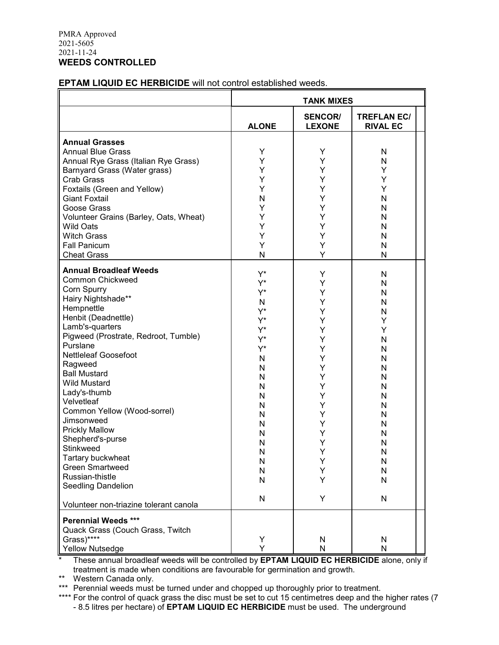## **EPTAM LIQUID EC HERBICIDE** will not control established weeds.

|                                        | <b>TANK MIXES</b> |                                 |                                       |  |
|----------------------------------------|-------------------|---------------------------------|---------------------------------------|--|
|                                        | <b>ALONE</b>      | <b>SENCOR/</b><br><b>LEXONE</b> | <b>TREFLAN EC/</b><br><b>RIVAL EC</b> |  |
| <b>Annual Grasses</b>                  |                   |                                 |                                       |  |
| <b>Annual Blue Grass</b>               | Υ                 | Υ                               | N                                     |  |
| Annual Rye Grass (Italian Rye Grass)   | Y                 | Y                               | N                                     |  |
| Barnyard Grass (Water grass)           | Υ                 | Υ                               | Y                                     |  |
| <b>Crab Grass</b>                      | Y                 | Υ                               | Y                                     |  |
| Foxtails (Green and Yellow)            | Y                 | Υ                               | Y                                     |  |
| <b>Giant Foxtail</b>                   | N                 | Υ                               | Ν                                     |  |
| Goose Grass                            | Y                 | Υ                               | N                                     |  |
| Volunteer Grains (Barley, Oats, Wheat) | Y                 | Υ                               | N                                     |  |
| <b>Wild Oats</b>                       | Y                 | Y                               | N                                     |  |
| <b>Witch Grass</b>                     | Y                 | Y                               | N                                     |  |
| <b>Fall Panicum</b>                    | Y                 | Y                               | N                                     |  |
| <b>Cheat Grass</b>                     | N                 | Υ                               | N                                     |  |
| <b>Annual Broadleaf Weeds</b>          | Y*                |                                 |                                       |  |
| <b>Common Chickweed</b>                | Y*                | Υ                               | N                                     |  |
| Corn Spurry                            | Y*                | Υ                               | N                                     |  |
| Hairy Nightshade**                     |                   | Υ                               | N                                     |  |
| Hempnettle                             | N                 | Y                               | N                                     |  |
| Henbit (Deadnettle)                    | Y*                | Y                               | N                                     |  |
| Lamb's-quarters                        | Y*                | Y                               | Y                                     |  |
| Pigweed (Prostrate, Redroot, Tumble)   | Y*                | Y                               | Y                                     |  |
| Purslane                               | Y*                | Υ                               | N                                     |  |
| <b>Nettleleaf Goosefoot</b>            | Y*                | Υ                               | N                                     |  |
| Ragweed                                | N                 | Y                               | N                                     |  |
| <b>Ball Mustard</b>                    | N                 | Y                               | Ν                                     |  |
| <b>Wild Mustard</b>                    | N                 | Y                               | N                                     |  |
| Lady's-thumb                           | N                 | Υ                               | N                                     |  |
| Velvetleaf                             | N                 | Υ                               | Ν                                     |  |
| Common Yellow (Wood-sorrel)            | N                 | Υ                               | N                                     |  |
| Jimsonweed                             | N                 | Υ                               | Ν                                     |  |
| <b>Prickly Mallow</b>                  | N                 | Υ                               | N                                     |  |
| Shepherd's-purse                       | N                 | Υ<br>Ý                          | N                                     |  |
| Stinkweed                              | N                 |                                 | Ν                                     |  |
| Tartary buckwheat                      | Ν                 | Υ                               | N                                     |  |
| <b>Green Smartweed</b>                 | N                 | Υ                               | N                                     |  |
| Russian-thistle                        | N                 | Υ                               | N                                     |  |
| Seedling Dandelion                     | N                 | Υ                               | N                                     |  |
|                                        | N                 | Υ                               | N                                     |  |
| Volunteer non-triazine tolerant canola |                   |                                 |                                       |  |
| <b>Perennial Weeds ***</b>             |                   |                                 |                                       |  |
| Quack Grass (Couch Grass, Twitch       |                   |                                 |                                       |  |
| Grass)****                             | Υ                 | N                               | N                                     |  |
| <b>Yellow Nutsedge</b>                 | Υ                 | N                               | N                                     |  |

\* These annual broadleaf weeds will be controlled by **EPTAM LIQUID EC HERBICIDE** alone, only if treatment is made when conditions are favourable for germination and growth.

\*\* Western Canada only.

\*\*\* Perennial weeds must be turned under and chopped up thoroughly prior to treatment.

\*\*\*\* For the control of quack grass the disc must be set to cut 15 centimetres deep and the higher rates (7

- 8.5 litres per hectare) of **EPTAM LIQUID EC HERBICIDE** must be used. The underground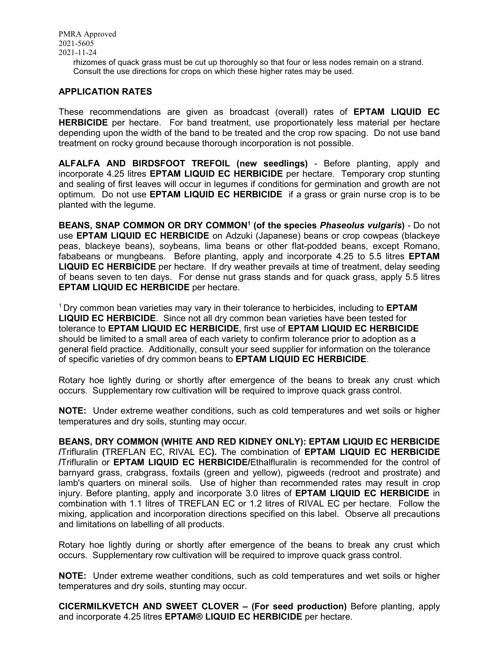rhizomes of quack grass must be cut up thoroughly so that four or less nodes remain on a strand. Consult the use directions for crops on which these higher rates may be used.

## **APPLICATION RATES**

These recommendations are given as broadcast (overall) rates of **EPTAM LIQUID EC HERBICIDE** per hectare. For band treatment, use proportionately less material per hectare depending upon the width of the band to be treated and the crop row spacing. Do not use band treatment on rocky ground because thorough incorporation is not possible.

**ALFALFA AND BIRDSFOOT TREFOIL (new seedlings)** - Before planting, apply and incorporate 4.25 litres **EPTAM LIQUID EC HERBICIDE** per hectare. Temporary crop stunting and sealing of first leaves will occur in legumes if conditions for germination and growth are not optimum. Do not use **EPTAM LIQUID EC HERBICIDE** if a grass or grain nurse crop is to be planted with the legume.

**BEANS, SNAP COMMON OR DRY COMMON<sup>1</sup> (of the species** *Phaseolus vulgaris***)** - Do not use **EPTAM LIQUID EC HERBICIDE** on Adzuki (Japanese) beans or crop cowpeas (blackeye peas, blackeye beans), soybeans, lima beans or other flat-podded beans, except Romano, fababeans or mungbeans. Before planting, apply and incorporate 4.25 to 5.5 litres **EPTAM LIQUID EC HERBICIDE** per hectare. If dry weather prevails at time of treatment, delay seeding of beans seven to ten days. For dense nut grass stands and for quack grass, apply 5.5 litres **EPTAM LIQUID EC HERBICIDE** per hectare.

<sup>1</sup>Dry common bean varieties may vary in their tolerance to herbicides, including to **EPTAM LIQUID EC HERBICIDE**. Since not all dry common bean varieties have been tested for tolerance to **EPTAM LIQUID EC HERBICIDE**, first use of **EPTAM LIQUID EC HERBICIDE** should be limited to a small area of each variety to confirm tolerance prior to adoption as a general field practice. Additionally, consult your seed supplier for information on the tolerance of specific varieties of dry common beans to **EPTAM LIQUID EC HERBICIDE**.

Rotary hoe lightly during or shortly after emergence of the beans to break any crust which occurs. Supplementary row cultivation will be required to improve quack grass control.

**NOTE:** Under extreme weather conditions, such as cold temperatures and wet soils or higher temperatures and dry soils, stunting may occur.

**BEANS, DRY COMMON (WHITE AND RED KIDNEY ONLY): EPTAM LIQUID EC HERBICIDE /**Trifluralin **(**TREFLAN EC, RIVAL EC**).** The combination of **EPTAM LIQUID EC HERBICIDE /**Trifluralin or **EPTAM LIQUID EC HERBICIDE/**Ethalfluralin is recommended for the control of barnyard grass, crabgrass, foxtails (green and yellow), pigweeds (redroot and prostrate) and lamb's quarters on mineral soils. Use of higher than recommended rates may result in crop injury. Before planting, apply and incorporate 3.0 litres of **EPTAM LIQUID EC HERBICIDE** in combination with 1.1 litres of TREFLAN EC or 1.2 litres of RIVAL EC per hectare. Follow the mixing, application and incorporation directions specified on this label. Observe all precautions and limitations on labelling of all products.

Rotary hoe lightly during or shortly after emergence of the beans to break any crust which occurs. Supplementary row cultivation will be required to improve quack grass control.

**NOTE:** Under extreme weather conditions, such as cold temperatures and wet soils or higher temperatures and dry soils, stunting may occur.

**CICERMILKVETCH AND SWEET CLOVER – (For seed production)** Before planting, apply and incorporate 4.25 litres **EPTAM® LIQUID EC HERBICIDE** per hectare.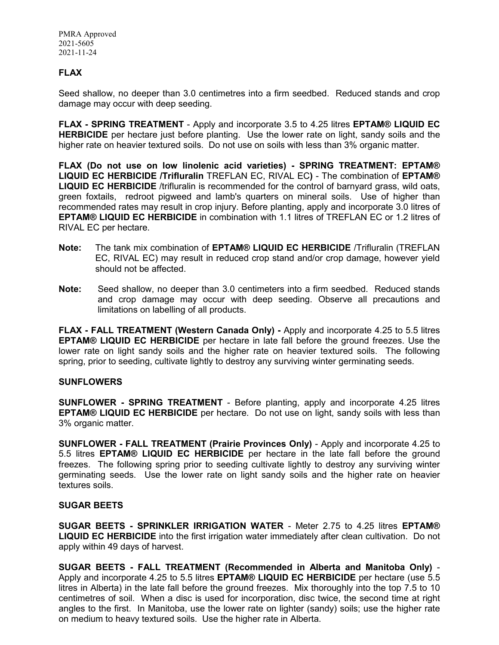# **FLAX**

Seed shallow, no deeper than 3.0 centimetres into a firm seedbed. Reduced stands and crop damage may occur with deep seeding.

**FLAX - SPRING TREATMENT** - Apply and incorporate 3.5 to 4.25 litres **EPTAM® LIQUID EC HERBICIDE** per hectare just before planting. Use the lower rate on light, sandy soils and the higher rate on heavier textured soils. Do not use on soils with less than 3% organic matter.

**FLAX (Do not use on low linolenic acid varieties) - SPRING TREATMENT: EPTAM® LIQUID EC HERBICIDE /Trifluralin** TREFLAN EC, RIVAL EC**)** - The combination of **EPTAM® LIQUID EC HERBICIDE** /trifluralin is recommended for the control of barnyard grass, wild oats, green foxtails, redroot pigweed and lamb's quarters on mineral soils. Use of higher than recommended rates may result in crop injury. Before planting, apply and incorporate 3.0 litres of **EPTAM® LIQUID EC HERBICIDE** in combination with 1.1 litres of TREFLAN EC or 1.2 litres of RIVAL EC per hectare.

- **Note:** The tank mix combination of **EPTAM® LIQUID EC HERBICIDE** /Trifluralin (TREFLAN EC, RIVAL EC) may result in reduced crop stand and/or crop damage, however yield should not be affected.
- **Note:** Seed shallow, no deeper than 3.0 centimeters into a firm seedbed. Reduced stands and crop damage may occur with deep seeding. Observe all precautions and limitations on labelling of all products.

**FLAX - FALL TREATMENT (Western Canada Only) - Apply and incorporate 4.25 to 5.5 litres EPTAM® LIQUID EC HERBICIDE** per hectare in late fall before the ground freezes. Use the lower rate on light sandy soils and the higher rate on heavier textured soils. The following spring, prior to seeding, cultivate lightly to destroy any surviving winter germinating seeds.

#### **SUNFLOWERS**

**SUNFLOWER - SPRING TREATMENT** - Before planting, apply and incorporate 4.25 litres **EPTAM® LIQUID EC HERBICIDE** per hectare. Do not use on light, sandy soils with less than 3% organic matter.

**SUNFLOWER - FALL TREATMENT (Prairie Provinces Only)** - Apply and incorporate 4.25 to 5.5 litres **EPTAM® LIQUID EC HERBICIDE** per hectare in the late fall before the ground freezes. The following spring prior to seeding cultivate lightly to destroy any surviving winter germinating seeds. Use the lower rate on light sandy soils and the higher rate on heavier textures soils.

#### **SUGAR BEETS**

**SUGAR BEETS - SPRINKLER IRRIGATION WATER** - Meter 2.75 to 4.25 litres **EPTAM® LIQUID EC HERBICIDE** into the first irrigation water immediately after clean cultivation. Do not apply within 49 days of harvest.

**SUGAR BEETS - FALL TREATMENT (Recommended in Alberta and Manitoba Only)** - Apply and incorporate 4.25 to 5.5 litres **EPTAM® LIQUID EC HERBICIDE** per hectare (use 5.5 litres in Alberta) in the late fall before the ground freezes. Mix thoroughly into the top 7.5 to 10 centimetres of soil. When a disc is used for incorporation, disc twice, the second time at right angles to the first. In Manitoba, use the lower rate on lighter (sandy) soils; use the higher rate on medium to heavy textured soils. Use the higher rate in Alberta.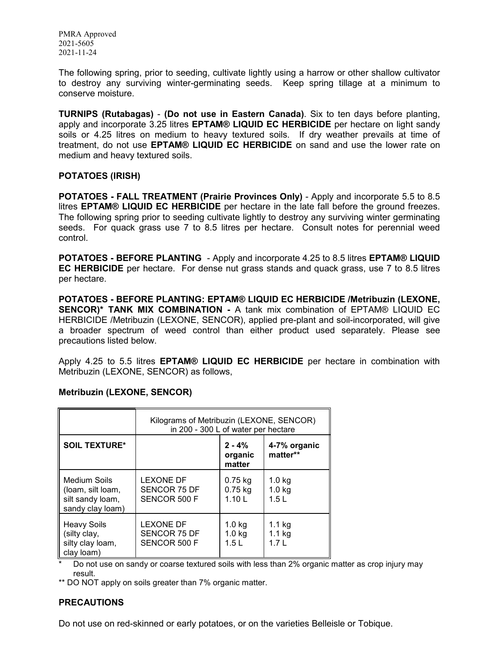The following spring, prior to seeding, cultivate lightly using a harrow or other shallow cultivator to destroy any surviving winter-germinating seeds. Keep spring tillage at a minimum to conserve moisture.

**TURNIPS (Rutabagas)** - **(Do not use in Eastern Canada)**. Six to ten days before planting, apply and incorporate 3.25 litres **EPTAM® LIQUID EC HERBICIDE** per hectare on light sandy soils or 4.25 litres on medium to heavy textured soils. If dry weather prevails at time of treatment, do not use **EPTAM® LIQUID EC HERBICIDE** on sand and use the lower rate on medium and heavy textured soils.

# **POTATOES (IRISH)**

**POTATOES - FALL TREATMENT (Prairie Provinces Only)** - Apply and incorporate 5.5 to 8.5 litres **EPTAM® LIQUID EC HERBICIDE** per hectare in the late fall before the ground freezes. The following spring prior to seeding cultivate lightly to destroy any surviving winter germinating seeds. For quack grass use 7 to 8.5 litres per hectare. Consult notes for perennial weed control.

**POTATOES - BEFORE PLANTING** - Apply and incorporate 4.25 to 8.5 litres **EPTAM® LIQUID EC HERBICIDE** per hectare. For dense nut grass stands and quack grass, use 7 to 8.5 litres per hectare.

**POTATOES - BEFORE PLANTING: EPTAM® LIQUID EC HERBICIDE /Metribuzin (LEXONE, SENCOR)\* TANK MIX COMBINATION -** A tank mix combination of EPTAM® LIQUID EC HERBICIDE /Metribuzin (LEXONE, SENCOR), applied pre-plant and soil-incorporated, will give a broader spectrum of weed control than either product used separately. Please see precautions listed below.

Apply 4.25 to 5.5 litres **EPTAM® LIQUID EC HERBICIDE** per hectare in combination with Metribuzin (LEXONE, SENCOR) as follows,

|                                                                           | Kilograms of Metribuzin (LEXONE, SENCOR)<br>in 200 - 300 L of water per hectare |                                                |                                       |
|---------------------------------------------------------------------------|---------------------------------------------------------------------------------|------------------------------------------------|---------------------------------------|
| <b>SOIL TEXTURE*</b>                                                      |                                                                                 | $2 - 4%$<br>organic<br>matter                  | 4-7% organic<br>matter**              |
| Medium Soils<br>(loam, silt loam,<br>silt sandy loam,<br>sandy clay loam) | <b>LEXONE DF</b><br>SENCOR 75 DF<br>SENCOR 500 F                                | 0.75 kg<br>$0.75$ kg<br>1.10L                  | 1.0 <sub>kg</sub><br>$1.0$ kg<br>1.5L |
| <b>Heavy Soils</b><br>(silty clay,<br>silty clay loam,<br>clay loam)      | <b>LEXONE DF</b><br>SENCOR 75 DF<br>SENCOR 500 F                                | 1.0 <sub>kg</sub><br>1.0 <sub>kg</sub><br>1.5L | $1.1$ kg<br>$1.1$ kg<br>$1.7+$        |

# **Metribuzin (LEXONE, SENCOR)**

Do not use on sandy or coarse textured soils with less than 2% organic matter as crop injury may result.

\*\* DO NOT apply on soils greater than 7% organic matter.

# **PRECAUTIONS**

Do not use on red-skinned or early potatoes, or on the varieties Belleisle or Tobique.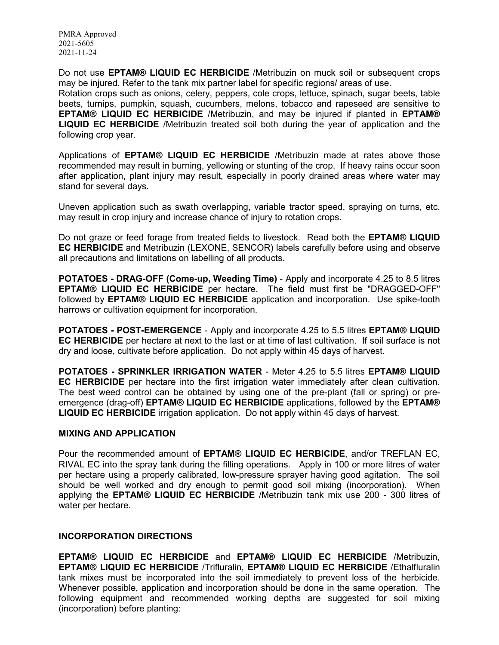Do not use **EPTAM® LIQUID EC HERBICIDE** /Metribuzin on muck soil or subsequent crops may be injured. Refer to the tank mix partner label for specific regions/ areas of use.

Rotation crops such as onions, celery, peppers, cole crops, lettuce, spinach, sugar beets, table beets, turnips, pumpkin, squash, cucumbers, melons, tobacco and rapeseed are sensitive to **EPTAM® LIQUID EC HERBICIDE** /Metribuzin, and may be injured if planted in **EPTAM® LIQUID EC HERBICIDE** /Metribuzin treated soil both during the year of application and the following crop year.

Applications of **EPTAM® LIQUID EC HERBICIDE** /Metribuzin made at rates above those recommended may result in burning, yellowing or stunting of the crop. If heavy rains occur soon after application, plant injury may result, especially in poorly drained areas where water may stand for several days.

Uneven application such as swath overlapping, variable tractor speed, spraying on turns, etc. may result in crop injury and increase chance of injury to rotation crops.

Do not graze or feed forage from treated fields to livestock. Read both the **EPTAM® LIQUID EC HERBICIDE** and Metribuzin (LEXONE, SENCOR) labels carefully before using and observe all precautions and limitations on labelling of all products.

**POTATOES - DRAG-OFF (Come-up, Weeding Time)** - Apply and incorporate 4.25 to 8.5 litres **EPTAM® LIQUID EC HERBICIDE** per hectare. The field must first be "DRAGGED-OFF" followed by **EPTAM® LIQUID EC HERBICIDE** application and incorporation. Use spike-tooth harrows or cultivation equipment for incorporation.

**POTATOES - POST-EMERGENCE** - Apply and incorporate 4.25 to 5.5 litres **EPTAM® LIQUID EC HERBICIDE** per hectare at next to the last or at time of last cultivation. If soil surface is not dry and loose, cultivate before application. Do not apply within 45 days of harvest.

**POTATOES - SPRINKLER IRRIGATION WATER** - Meter 4.25 to 5.5 litres **EPTAM® LIQUID EC HERBICIDE** per hectare into the first irrigation water immediately after clean cultivation. The best weed control can be obtained by using one of the pre-plant (fall or spring) or preemergence (drag-off) **EPTAM® LIQUID EC HERBICIDE** applications, followed by the **EPTAM® LIQUID EC HERBICIDE** irrigation application. Do not apply within 45 days of harvest.

#### **MIXING AND APPLICATION**

Pour the recommended amount of **EPTAM® LIQUID EC HERBICIDE**, and/or TREFLAN EC, RIVAL EC into the spray tank during the filling operations. Apply in 100 or more litres of water per hectare using a properly calibrated, low-pressure sprayer having good agitation. The soil should be well worked and dry enough to permit good soil mixing (incorporation). When applying the **EPTAM® LIQUID EC HERBICIDE** /Metribuzin tank mix use 200 - 300 litres of water per hectare.

#### **INCORPORATION DIRECTIONS**

**EPTAM® LIQUID EC HERBICIDE** and **EPTAM® LIQUID EC HERBICIDE** /Metribuzin, **EPTAM® LIQUID EC HERBICIDE** /Trifluralin, **EPTAM® LIQUID EC HERBICIDE** /Ethalfluralin tank mixes must be incorporated into the soil immediately to prevent loss of the herbicide. Whenever possible, application and incorporation should be done in the same operation. The following equipment and recommended working depths are suggested for soil mixing (incorporation) before planting: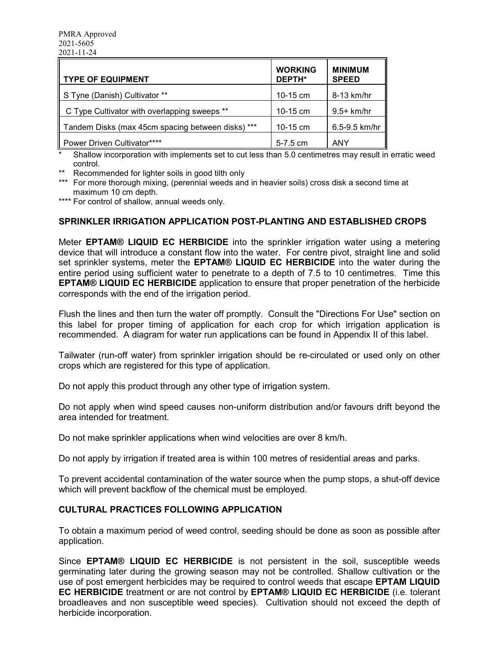| <b>TYPE OF EQUIPMENT</b>                          | <b>WORKING</b><br>DEPTH* | <b>MINIMUM</b><br><b>SPEED</b> |
|---------------------------------------------------|--------------------------|--------------------------------|
| S Tyne (Danish) Cultivator **                     | 10-15 cm                 | 8-13 km/hr                     |
| C Type Cultivator with overlapping sweeps **      | 10-15 cm                 | $9.5+$ km/hr                   |
| Tandem Disks (max 45cm spacing between disks) *** | 10-15 cm                 | 6.5-9.5 km/hr                  |
| Power Driven Cultivator****                       | $5 - 7.5$ cm             | ANY                            |

Shallow incorporation with implements set to cut less than 5.0 centimetres may result in erratic weed control.

\*\* Recommended for lighter soils in good tilth only

\*\*\* For more thorough mixing, (perennial weeds and in heavier soils) cross disk a second time at maximum 10 cm depth.

\*\*\*\* For control of shallow, annual weeds only.

# **SPRINKLER IRRIGATION APPLICATION POST-PLANTING AND ESTABLISHED CROPS**

Meter **EPTAM® LIQUID EC HERBICIDE** into the sprinkler irrigation water using a metering device that will introduce a constant flow into the water. For centre pivot, straight line and solid set sprinkler systems, meter the **EPTAM® LIQUID EC HERBICIDE** into the water during the entire period using sufficient water to penetrate to a depth of 7.5 to 10 centimetres. Time this **EPTAM® LIQUID EC HERBICIDE** application to ensure that proper penetration of the herbicide corresponds with the end of the irrigation period.

Flush the lines and then turn the water off promptly. Consult the "Directions For Use" section on this label for proper timing of application for each crop for which irrigation application is recommended. A diagram for water run applications can be found in Appendix II of this label.

Tailwater (run-off water) from sprinkler irrigation should be re-circulated or used only on other crops which are registered for this type of application.

Do not apply this product through any other type of irrigation system.

Do not apply when wind speed causes non-uniform distribution and/or favours drift beyond the area intended for treatment.

Do not make sprinkler applications when wind velocities are over 8 km/h.

Do not apply by irrigation if treated area is within 100 metres of residential areas and parks.

To prevent accidental contamination of the water source when the pump stops, a shut-off device which will prevent backflow of the chemical must be employed.

#### **CULTURAL PRACTICES FOLLOWING APPLICATION**

To obtain a maximum period of weed control, seeding should be done as soon as possible after application.

Since **EPTAM® LIQUID EC HERBICIDE** is not persistent in the soil, susceptible weeds germinating later during the growing season may not be controlled. Shallow cultivation or the use of post emergent herbicides may be required to control weeds that escape **EPTAM LIQUID EC HERBICIDE** treatment or are not control by **EPTAM® LIQUID EC HERBICIDE** (i.e. tolerant broadleaves and non susceptible weed species). Cultivation should not exceed the depth of herbicide incorporation.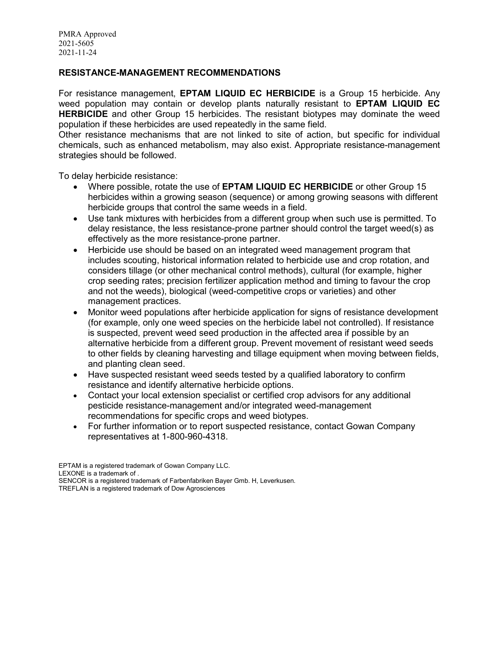## **RESISTANCE-MANAGEMENT RECOMMENDATIONS**

For resistance management, **EPTAM LIQUID EC HERBICIDE** is a Group 15 herbicide. Any weed population may contain or develop plants naturally resistant to **EPTAM LIQUID EC HERBICIDE** and other Group 15 herbicides. The resistant biotypes may dominate the weed population if these herbicides are used repeatedly in the same field.

Other resistance mechanisms that are not linked to site of action, but specific for individual chemicals, such as enhanced metabolism, may also exist. Appropriate resistance-management strategies should be followed.

To delay herbicide resistance:

- Where possible, rotate the use of **EPTAM LIQUID EC HERBICIDE** or other Group 15 herbicides within a growing season (sequence) or among growing seasons with different herbicide groups that control the same weeds in a field.
- Use tank mixtures with herbicides from a different group when such use is permitted. To delay resistance, the less resistance-prone partner should control the target weed(s) as effectively as the more resistance-prone partner.
- Herbicide use should be based on an integrated weed management program that includes scouting, historical information related to herbicide use and crop rotation, and considers tillage (or other mechanical control methods), cultural (for example, higher crop seeding rates; precision fertilizer application method and timing to favour the crop and not the weeds), biological (weed-competitive crops or varieties) and other management practices.
- Monitor weed populations after herbicide application for signs of resistance development (for example, only one weed species on the herbicide label not controlled). If resistance is suspected, prevent weed seed production in the affected area if possible by an alternative herbicide from a different group. Prevent movement of resistant weed seeds to other fields by cleaning harvesting and tillage equipment when moving between fields, and planting clean seed.
- Have suspected resistant weed seeds tested by a qualified laboratory to confirm resistance and identify alternative herbicide options.
- Contact your local extension specialist or certified crop advisors for any additional pesticide resistance-management and/or integrated weed-management recommendations for specific crops and weed biotypes.
- For further information or to report suspected resistance, contact Gowan Company representatives at 1-800-960-4318.

EPTAM is a registered trademark of Gowan Company LLC. LEXONE is a trademark of . SENCOR is a registered trademark of Farbenfabriken Bayer Gmb. H, Leverkusen. TREFLAN is a registered trademark of Dow Agrosciences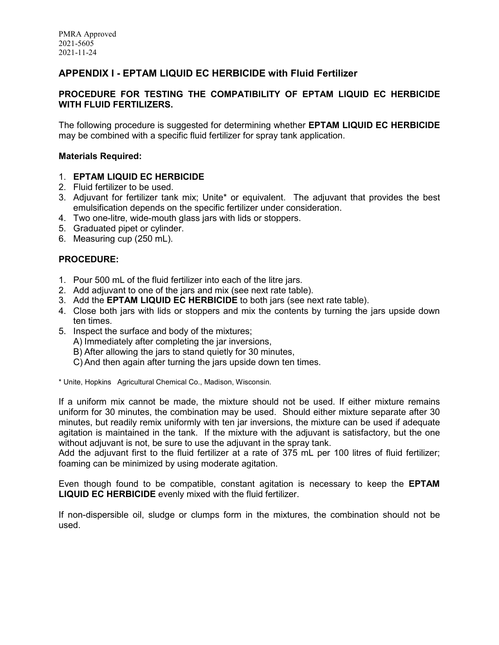# **APPENDIX I - EPTAM LIQUID EC HERBICIDE with Fluid Fertilizer**

# **PROCEDURE FOR TESTING THE COMPATIBILITY OF EPTAM LIQUID EC HERBICIDE WITH FLUID FERTILIZERS.**

The following procedure is suggested for determining whether **EPTAM LIQUID EC HERBICIDE** may be combined with a specific fluid fertilizer for spray tank application.

#### **Materials Required:**

#### 1. **EPTAM LIQUID EC HERBICIDE**

- 2. Fluid fertilizer to be used.
- 3. Adjuvant for fertilizer tank mix; Unite\* or equivalent. The adjuvant that provides the best emulsification depends on the specific fertilizer under consideration.
- 4. Two one-litre, wide-mouth glass jars with lids or stoppers.
- 5. Graduated pipet or cylinder.
- 6. Measuring cup (250 mL).

#### **PROCEDURE:**

- 1. Pour 500 mL of the fluid fertilizer into each of the litre jars.
- 2. Add adjuvant to one of the jars and mix (see next rate table).
- 3. Add the **EPTAM LIQUID EC HERBICIDE** to both jars (see next rate table).
- 4. Close both jars with lids or stoppers and mix the contents by turning the jars upside down ten times.
- 5. Inspect the surface and body of the mixtures;
	- A) Immediately after completing the jar inversions,
	- B) After allowing the jars to stand quietly for 30 minutes,
	- C) And then again after turning the jars upside down ten times.

\* Unite, Hopkins Agricultural Chemical Co., Madison, Wisconsin.

If a uniform mix cannot be made, the mixture should not be used. If either mixture remains uniform for 30 minutes, the combination may be used. Should either mixture separate after 30 minutes, but readily remix uniformly with ten jar inversions, the mixture can be used if adequate agitation is maintained in the tank. If the mixture with the adjuvant is satisfactory, but the one without adjuvant is not, be sure to use the adjuvant in the spray tank.

Add the adjuvant first to the fluid fertilizer at a rate of 375 mL per 100 litres of fluid fertilizer; foaming can be minimized by using moderate agitation.

Even though found to be compatible, constant agitation is necessary to keep the **EPTAM LIQUID EC HERBICIDE** evenly mixed with the fluid fertilizer.

If non-dispersible oil, sludge or clumps form in the mixtures, the combination should not be used.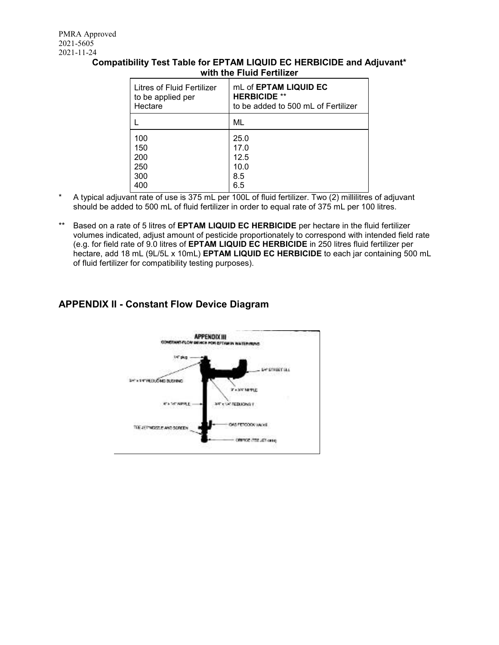# **Compatibility Test Table for EPTAM LIQUID EC HERBICIDE and Adjuvant\* with the Fluid Fertilizer**

| Litres of Fluid Fertilizer<br>to be applied per<br>Hectare | mL of <b>EPTAM LIQUID EC</b><br><b>HERBICIDE **</b><br>to be added to 500 mL of Fertilizer |  |  |
|------------------------------------------------------------|--------------------------------------------------------------------------------------------|--|--|
|                                                            | МL                                                                                         |  |  |
| 100<br>150<br>200<br>250<br>300                            | 25.0<br>17.0<br>12.5<br>10.0<br>8.5<br>6.5                                                 |  |  |

- \* A typical adjuvant rate of use is 375 mL per 100L of fluid fertilizer. Two (2) millilitres of adjuvant should be added to 500 mL of fluid fertilizer in order to equal rate of 375 mL per 100 litres.
- \*\* Based on a rate of 5 litres of **EPTAM LIQUID EC HERBICIDE** per hectare in the fluid fertilizer volumes indicated, adjust amount of pesticide proportionately to correspond with intended field rate (e.g. for field rate of 9.0 litres of **EPTAM LIQUID EC HERBICIDE** in 250 litres fluid fertilizer per hectare, add 18 mL (9L/5L x 10mL) **EPTAM LIQUID EC HERBICIDE** to each jar containing 500 mL of fluid fertilizer for compatibility testing purposes).

# **APPENDIX II - Constant Flow Device Diagram**